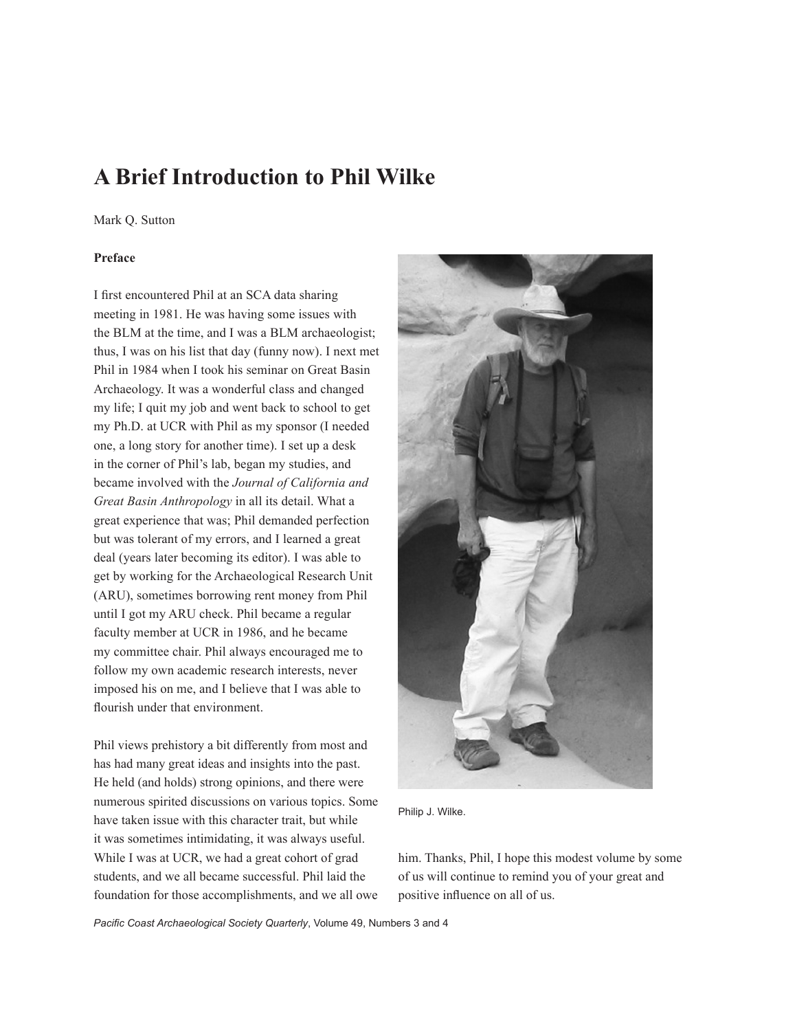# **A Brief Introduction to Phil Wilke**

#### Mark Q. Sutton

# **Preface**

I first encountered Phil at an SCA data sharing meeting in 1981. He was having some issues with the BLM at the time, and I was a BLM archaeologist; thus, I was on his list that day (funny now). I next met Phil in 1984 when I took his seminar on Great Basin Archaeology. It was a wonderful class and changed my life; I quit my job and went back to school to get my Ph.D. at UCR with Phil as my sponsor (I needed one, a long story for another time). I set up a desk in the corner of Phil's lab, began my studies, and became involved with the *Journal of California and Great Basin Anthropology* in all its detail. What a great experience that was; Phil demanded perfection but was tolerant of my errors, and I learned a great deal (years later becoming its editor). I was able to get by working for the Archaeological Research Unit (ARU), sometimes borrowing rent money from Phil until I got my ARU check. Phil became a regular faculty member at UCR in 1986, and he became my committee chair. Phil always encouraged me to follow my own academic research interests, never imposed his on me, and I believe that I was able to flourish under that environment.

Phil views prehistory a bit differently from most and has had many great ideas and insights into the past. He held (and holds) strong opinions, and there were numerous spirited discussions on various topics. Some have taken issue with this character trait, but while it was sometimes intimidating, it was always useful. While I was at UCR, we had a great cohort of grad students, and we all became successful. Phil laid the foundation for those accomplishments, and we all owe



Philip J. Wilke.

him. Thanks, Phil, I hope this modest volume by some of us will continue to remind you of your great and positive influence on all of us.

*Pacific Coast Archaeological Society Quarterly*, Volume 49, Numbers 3 and 4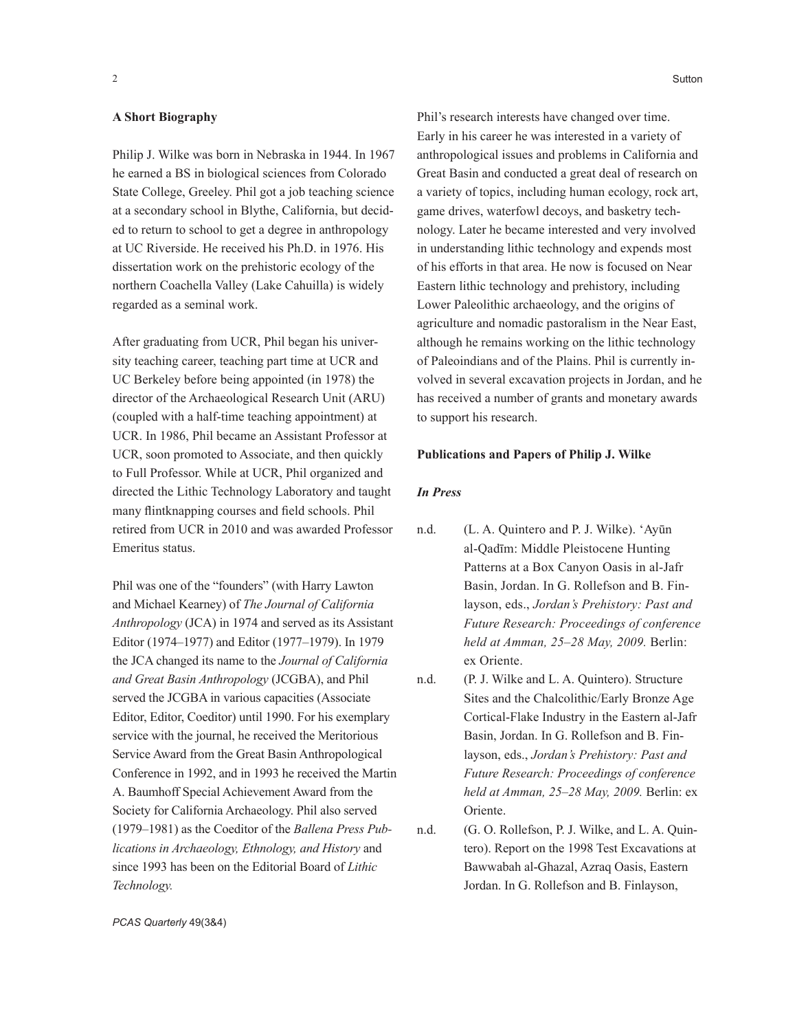#### **A Short Biography**

Philip J. Wilke was born in Nebraska in 1944. In 1967 he earned a BS in biological sciences from Colorado State College, Greeley. Phil got a job teaching science at a secondary school in Blythe, California, but decided to return to school to get a degree in anthropology at UC Riverside. He received his Ph.D. in 1976. His dissertation work on the prehistoric ecology of the northern Coachella Valley (Lake Cahuilla) is widely regarded as a seminal work.

After graduating from UCR, Phil began his university teaching career, teaching part time at UCR and UC Berkeley before being appointed (in 1978) the director of the Archaeological Research Unit (ARU) (coupled with a half-time teaching appointment) at UCR. In 1986, Phil became an Assistant Professor at UCR, soon promoted to Associate, and then quickly to Full Professor. While at UCR, Phil organized and directed the Lithic Technology Laboratory and taught many flintknapping courses and field schools. Phil retired from UCR in 2010 and was awarded Professor Emeritus status.

Phil was one of the "founders" (with Harry Lawton and Michael Kearney) of *The Journal of California Anthropology* (JCA) in 1974 and served as its Assistant Editor (1974–1977) and Editor (1977–1979). In 1979 the JCA changed its name to the *Journal of California and Great Basin Anthropology* (JCGBA), and Phil served the JCGBA in various capacities (Associate Editor, Editor, Coeditor) until 1990. For his exemplary service with the journal, he received the Meritorious Service Award from the Great Basin Anthropological Conference in 1992, and in 1993 he received the Martin A. Baumhoff Special Achievement Award from the Society for California Archaeology. Phil also served (1979–1981) as the Coeditor of the *Ballena Press Publications in Archaeology, Ethnology, and History* and since 1993 has been on the Editorial Board of *Lithic Technology.*

Phil's research interests have changed over time. Early in his career he was interested in a variety of anthropological issues and problems in California and Great Basin and conducted a great deal of research on a variety of topics, including human ecology, rock art, game drives, waterfowl decoys, and basketry technology. Later he became interested and very involved in understanding lithic technology and expends most of his efforts in that area. He now is focused on Near Eastern lithic technology and prehistory, including Lower Paleolithic archaeology, and the origins of agriculture and nomadic pastoralism in the Near East, although he remains working on the lithic technology of Paleoindians and of the Plains. Phil is currently in-

volved in several excavation projects in Jordan, and he has received a number of grants and monetary awards to support his research.

## **Publications and Papers of Philip J. Wilke**

#### *In Press*

- n.d. (L. A. Quintero and P. J. Wilke). 'Ayūn al-Qadīm: Middle Pleistocene Hunting Patterns at a Box Canyon Oasis in al-Jafr Basin, Jordan. In G. Rollefson and B. Finlayson, eds., *Jordan's Prehistory: Past and Future Research: Proceedings of conference held at Amman, 25–28 May, 2009.* Berlin: ex Oriente.
- n.d. (P. J. Wilke and L. A. Quintero). Structure Sites and the Chalcolithic/Early Bronze Age Cortical-Flake Industry in the Eastern al-Jafr Basin, Jordan. In G. Rollefson and B. Finlayson, eds., *Jordan's Prehistory: Past and Future Research: Proceedings of conference held at Amman, 25–28 May, 2009.* Berlin: ex Oriente.
- n.d. (G. O. Rollefson, P. J. Wilke, and L. A. Quintero). Report on the 1998 Test Excavations at Bawwabah al-Ghazal, Azraq Oasis, Eastern Jordan. In G. Rollefson and B. Finlayson,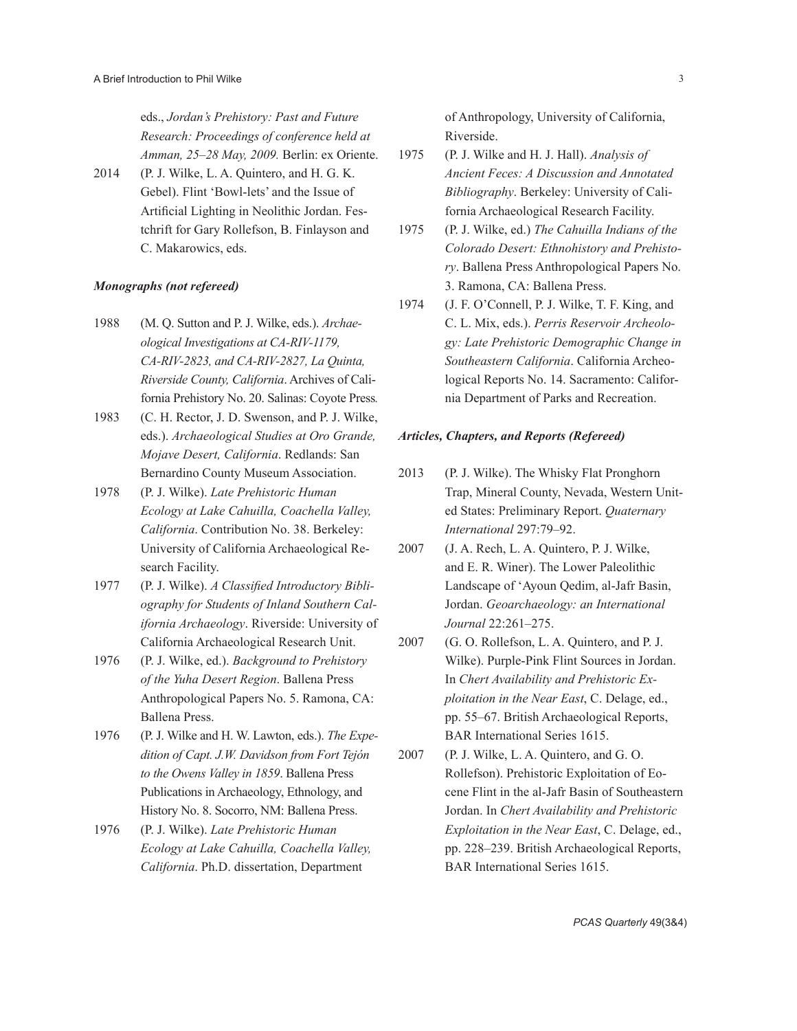eds., *Jordan's Prehistory: Past and Future Research: Proceedings of conference held at Amman, 25–28 May, 2009.* Berlin: ex Oriente.

2014 (P. J. Wilke, L. A. Quintero, and H. G. K. Gebel). Flint 'Bowl-lets' and the Issue of Artificial Lighting in Neolithic Jordan. Festchrift for Gary Rollefson, B. Finlayson and C. Makarowics, eds.

## *Monographs (not refereed)*

- 1988 (M. Q. Sutton and P. J. Wilke, eds.). *Archaeological Investigations at CA-RIV-1179, CA-RIV-2823, and CA-RIV-2827, La Quinta, Riverside County, California*. Archives of California Prehistory No. 20. Salinas: Coyote Press*.*
- 1983 (C. H. Rector, J. D. Swenson, and P. J. Wilke, eds.). *Archaeological Studies at Oro Grande, Mojave Desert, California*. Redlands: San Bernardino County Museum Association.
- 1978 (P. J. Wilke). *Late Prehistoric Human Ecology at Lake Cahuilla, Coachella Valley, California*. Contribution No. 38. Berkeley: University of California Archaeological Research Facility.
- 1977 (P. J. Wilke). *A Classified Introductory Bibliography for Students of Inland Southern California Archaeology*. Riverside: University of California Archaeological Research Unit.
- 1976 (P. J. Wilke, ed.). *Background to Prehistory of the Yuha Desert Region*. Ballena Press Anthropological Papers No. 5. Ramona, CA: Ballena Press.
- 1976 (P. J. Wilke and H. W. Lawton, eds.). *The Expedition of Capt. J.W. Davidson from Fort Tejón to the Owens Valley in 1859*. Ballena Press Publications in Archaeology, Ethnology, and History No. 8. Socorro, NM: Ballena Press.
- 1976 (P. J. Wilke). *Late Prehistoric Human Ecology at Lake Cahuilla, Coachella Valley, California*. Ph.D. dissertation, Department

of Anthropology, University of California, Riverside.

- 1975 (P. J. Wilke and H. J. Hall). *Analysis of Ancient Feces: A Discussion and Annotated Bibliography*. Berkeley: University of California Archaeological Research Facility.
- 1975 (P. J. Wilke, ed.) *The Cahuilla Indians of the Colorado Desert: Ethnohistory and Prehistory*. Ballena Press Anthropological Papers No. 3. Ramona, CA: Ballena Press.
- 1974 (J. F. O'Connell, P. J. Wilke, T. F. King, and C. L. Mix, eds.). *Perris Reservoir Archeology: Late Prehistoric Demographic Change in Southeastern California*. California Archeological Reports No. 14. Sacramento: California Department of Parks and Recreation.

#### *Articles, Chapters, and Reports (Refereed)*

- 2013 (P. J. Wilke). The Whisky Flat Pronghorn Trap, Mineral County, Nevada, Western United States: Preliminary Report. *Quaternary International* 297:79–92.
- 2007 (J. A. Rech, L. A. Quintero, P. J. Wilke, and E. R. Winer). The Lower Paleolithic Landscape of 'Ayoun Qedim, al-Jafr Basin, Jordan. *Geoarchaeology: an International Journal* 22:261–275.
- 2007 (G. O. Rollefson, L. A. Quintero, and P. J. Wilke). Purple-Pink Flint Sources in Jordan. In *Chert Availability and Prehistoric Exploitation in the Near East*, C. Delage, ed., pp. 55–67. British Archaeological Reports, BAR International Series 1615.
- 2007 (P. J. Wilke, L. A. Quintero, and G. O. Rollefson). Prehistoric Exploitation of Eocene Flint in the al-Jafr Basin of Southeastern Jordan. In *Chert Availability and Prehistoric Exploitation in the Near East*, C. Delage, ed., pp. 228–239. British Archaeological Reports, BAR International Series 1615.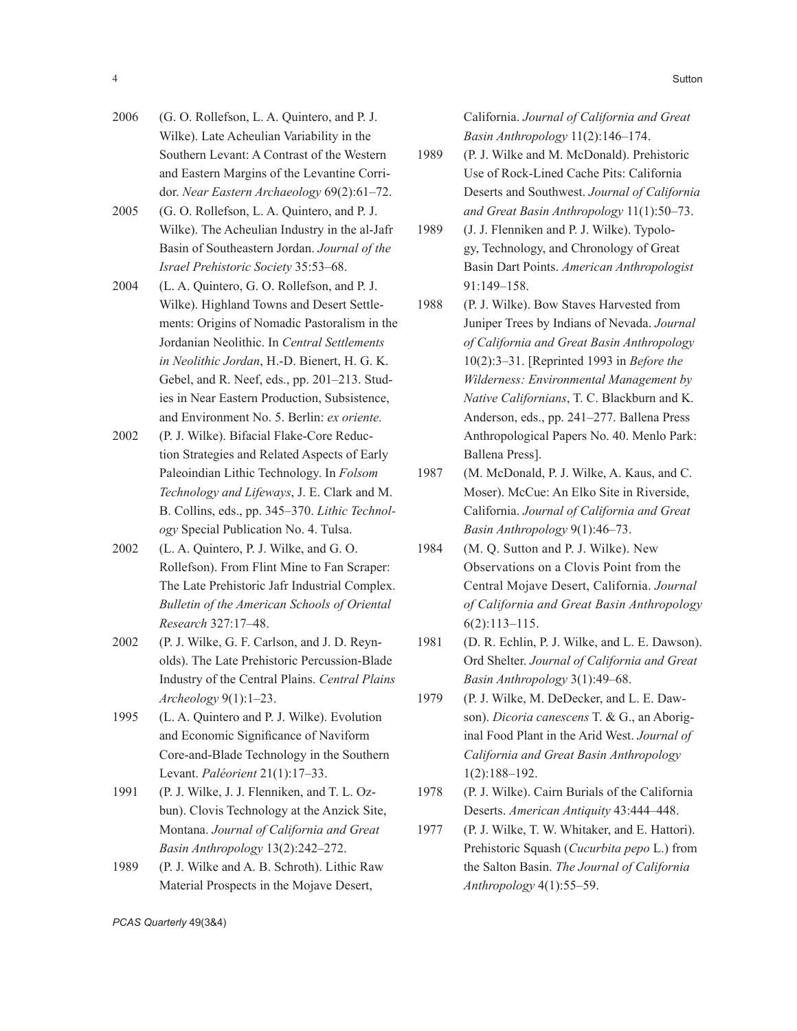- 2006 (G. O. Rollefson, L. A. Quintero, and P. J. Wilke). Late Acheulian Variability in the Southern Levant: A Contrast of the Western and Eastern Margins of the Levantine Corridor. *Near Eastern Archaeology* 69(2):61–72.
- 2005 (G. O. Rollefson, L. A. Quintero, and P. J. Wilke). The Acheulian Industry in the al-Jafr Basin of Southeastern Jordan. *Journal of the Israel Prehistoric Society* 35:53–68.
- 2004 (L. A. Quintero, G. O. Rollefson, and P. J. Wilke). Highland Towns and Desert Settlements: Origins of Nomadic Pastoralism in the Jordanian Neolithic. In *Central Settlements in Neolithic Jordan*, H.-D. Bienert, H. G. K. Gebel, and R. Neef, eds., pp. 201–213. Studies in Near Eastern Production, Subsistence, and Environment No. 5. Berlin: *ex oriente.*
- 2002 (P. J. Wilke). Bifacial Flake-Core Reduction Strategies and Related Aspects of Early Paleoindian Lithic Technology. In *Folsom Technology and Lifeways*, J. E. Clark and M. B. Collins, eds., pp. 345–370. *Lithic Technology* Special Publication No. 4. Tulsa.
- 2002 (L. A. Quintero, P. J. Wilke, and G. O. Rollefson). From Flint Mine to Fan Scraper: The Late Prehistoric Jafr Industrial Complex. *Bulletin of the American Schools of Oriental Research* 327:17–48.
- 2002 (P. J. Wilke, G. F. Carlson, and J. D. Reynolds). The Late Prehistoric Percussion-Blade Industry of the Central Plains. *Central Plains Archeology* 9(1):1–23.
- 1995 (L. A. Quintero and P. J. Wilke). Evolution and Economic Significance of Naviform Core-and-Blade Technology in the Southern Levant. *Paléorient* 21(1):17–33.
- 1991 (P. J. Wilke, J. J. Flenniken, and T. L. Ozbun). Clovis Technology at the Anzick Site, Montana. *Journal of California and Great Basin Anthropology* 13(2):242–272.
- 1989 (P. J. Wilke and A. B. Schroth). Lithic Raw Material Prospects in the Mojave Desert,

California. *Journal of California and Great Basin Anthropology* 11(2):146–174.

- 1989 (P. J. Wilke and M. McDonald). Prehistoric Use of Rock-Lined Cache Pits: California Deserts and Southwest. *Journal of California and Great Basin Anthropology* 11(1):50–73.
- 1989 (J. J. Flenniken and P. J. Wilke). Typology, Technology, and Chronology of Great Basin Dart Points. *American Anthropologist* 91:149–158.
- 1988 (P. J. Wilke). Bow Staves Harvested from Juniper Trees by Indians of Nevada. *Journal of California and Great Basin Anthropology* 10(2):3–31. [Reprinted 1993 in *Before the Wilderness: Environmental Management by Native Californians*, T. C. Blackburn and K. Anderson, eds., pp. 241–277. Ballena Press Anthropological Papers No. 40. Menlo Park: Ballena Press].
- 1987 (M. McDonald, P. J. Wilke, A. Kaus, and C. Moser). McCue: An Elko Site in Riverside, California. *Journal of California and Great Basin Anthropology* 9(1):46–73.
- 1984 (M. Q. Sutton and P. J. Wilke). New Observations on a Clovis Point from the Central Mojave Desert, California. *Journal of California and Great Basin Anthropology* 6(2):113–115.
- 1981 (D. R. Echlin, P. J. Wilke, and L. E. Dawson). Ord Shelter. *Journal of California and Great Basin Anthropology* 3(1):49–68.
- 1979 (P. J. Wilke, M. DeDecker, and L. E. Dawson). *Dicoria canescens* T. & G., an Aboriginal Food Plant in the Arid West. *Journal of California and Great Basin Anthropology* 1(2):188–192.
- 1978 (P. J. Wilke). Cairn Burials of the California Deserts. *American Antiquity* 43:444–448.
- 1977 (P. J. Wilke, T. W. Whitaker, and E. Hattori). Prehistoric Squash (*Cucurbita pepo* L.) from the Salton Basin. *The Journal of California Anthropology* 4(1):55–59.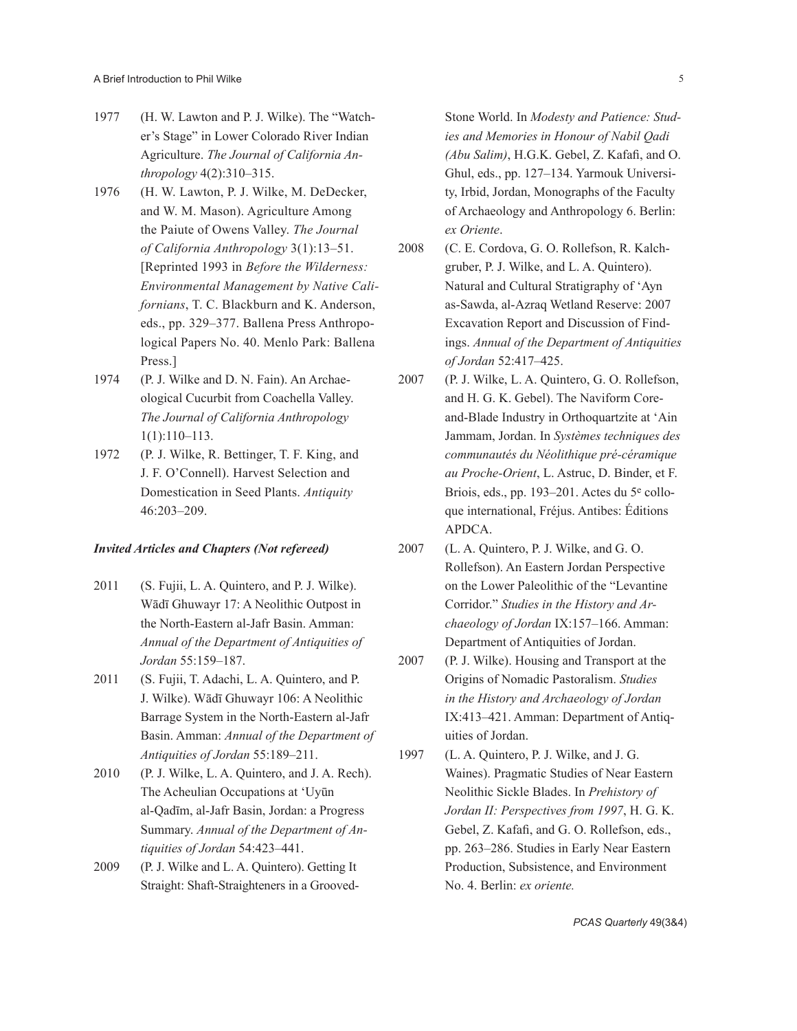- 1977 (H. W. Lawton and P. J. Wilke). The "Watcher's Stage" in Lower Colorado River Indian Agriculture. *The Journal of California Anthropology* 4(2):310–315.
- 1976 (H. W. Lawton, P. J. Wilke, M. DeDecker, and W. M. Mason). Agriculture Among the Paiute of Owens Valley. *The Journal of California Anthropology* 3(1):13–51. [Reprinted 1993 in *Before the Wilderness: Environmental Management by Native Californians*, T. C. Blackburn and K. Anderson, eds., pp. 329–377. Ballena Press Anthropological Papers No. 40. Menlo Park: Ballena Press.]
- 1974 (P. J. Wilke and D. N. Fain). An Archaeological Cucurbit from Coachella Valley. *The Journal of California Anthropology* 1(1):110–113.
- 1972 (P. J. Wilke, R. Bettinger, T. F. King, and J. F. O'Connell). Harvest Selection and Domestication in Seed Plants. *Antiquity* 46:203–209.

#### *Invited Articles and Chapters (Not refereed)*

- 2011 (S. Fujii, L. A. Quintero, and P. J. Wilke). Wādī Ghuwayr 17: A Neolithic Outpost in the North-Eastern al-Jafr Basin. Amman: *Annual of the Department of Antiquities of Jordan* 55:159–187.
- 2011 (S. Fujii, T. Adachi, L. A. Quintero, and P. J. Wilke). Wādī Ghuwayr 106: A Neolithic Barrage System in the North-Eastern al-Jafr Basin. Amman: *Annual of the Department of Antiquities of Jordan* 55:189–211.
- 2010 (P. J. Wilke, L. A. Quintero, and J. A. Rech). The Acheulian Occupations at 'Uyūn al-Qadīm, al-Jafr Basin, Jordan: a Progress Summary. *Annual of the Department of Antiquities of Jordan* 54:423–441.
- 2009 (P. J. Wilke and L. A. Quintero). Getting It Straight: Shaft-Straighteners in a Grooved-

Stone World. In *Modesty and Patience: Studies and Memories in Honour of Nabil Qadi (Abu Salim)*, H.G.K. Gebel, Z. Kafafi, and O. Ghul, eds., pp. 127–134. Yarmouk University, Irbid, Jordan, Monographs of the Faculty of Archaeology and Anthropology 6. Berlin: *ex Oriente*.

- 2008 (C. E. Cordova, G. O. Rollefson, R. Kalchgruber, P. J. Wilke, and L. A. Quintero). Natural and Cultural Stratigraphy of 'Ayn as-Sawda, al-Azraq Wetland Reserve: 2007 Excavation Report and Discussion of Findings. *Annual of the Department of Antiquities of Jordan* 52:417–425.
- 2007 (P. J. Wilke, L. A. Quintero, G. O. Rollefson, and H. G. K. Gebel). The Naviform Coreand-Blade Industry in Orthoquartzite at 'Ain Jammam, Jordan. In *Systèmes techniques des communautés du Néolithique pré-céramique au Proche-Orient*, L. Astruc, D. Binder, et F. Briois, eds., pp. 193–201. Actes du 5e colloque international, Fréjus. Antibes: Éditions APDCA.
- 2007 (L. A. Quintero, P. J. Wilke, and G. O. Rollefson). An Eastern Jordan Perspective on the Lower Paleolithic of the "Levantine Corridor." *Studies in the History and Archaeology of Jordan* IX:157–166. Amman: Department of Antiquities of Jordan.
- 2007 (P. J. Wilke). Housing and Transport at the Origins of Nomadic Pastoralism. *Studies in the History and Archaeology of Jordan*  IX:413–421. Amman: Department of Antiquities of Jordan.
- 1997 (L. A. Quintero, P. J. Wilke, and J. G. Waines). Pragmatic Studies of Near Eastern Neolithic Sickle Blades. In *Prehistory of Jordan II: Perspectives from 1997*, H. G. K. Gebel, Z. Kafafi, and G. O. Rollefson, eds., pp. 263–286. Studies in Early Near Eastern Production, Subsistence, and Environment No. 4. Berlin: *ex oriente.*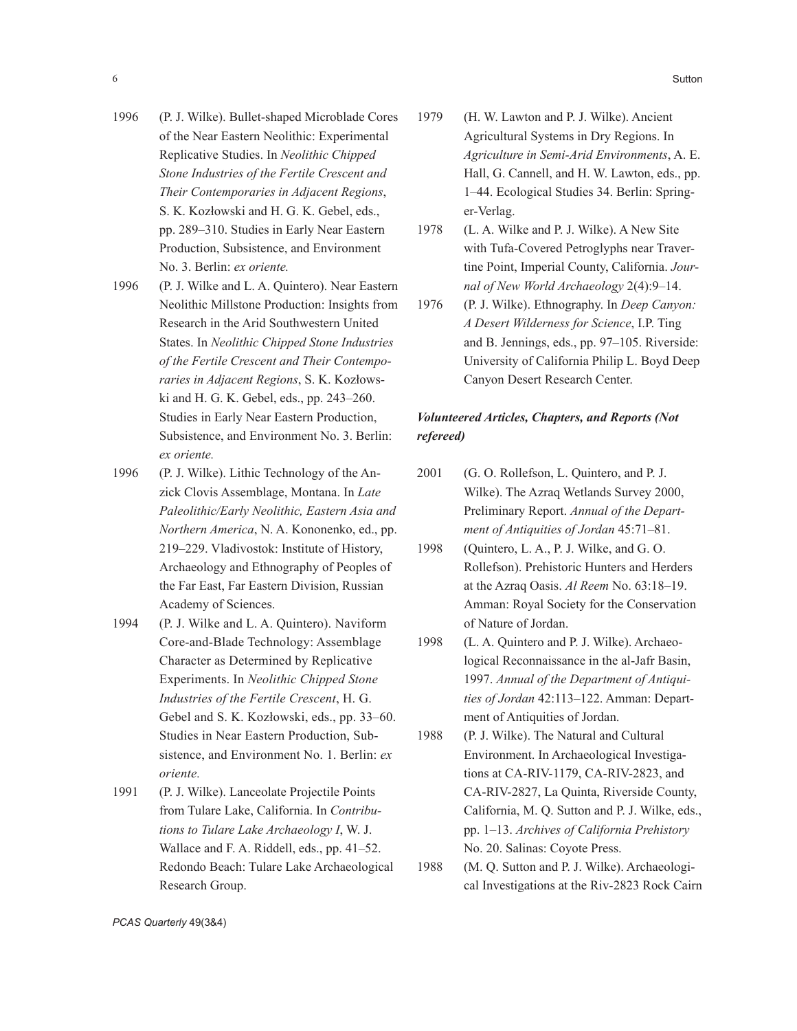- 1996 (P. J. Wilke). Bullet-shaped Microblade Cores of the Near Eastern Neolithic: Experimental Replicative Studies. In *Neolithic Chipped Stone Industries of the Fertile Crescent and Their Contemporaries in Adjacent Regions*, S. K. Kozłowski and H. G. K. Gebel, eds., pp. 289–310. Studies in Early Near Eastern Production, Subsistence, and Environment No. 3. Berlin: *ex oriente.*
- 1996 (P. J. Wilke and L. A. Quintero). Near Eastern Neolithic Millstone Production: Insights from Research in the Arid Southwestern United States. In *Neolithic Chipped Stone Industries of the Fertile Crescent and Their Contemporaries in Adjacent Regions*, S. K. Kozłowski and H. G. K. Gebel, eds., pp. 243–260. Studies in Early Near Eastern Production, Subsistence, and Environment No. 3. Berlin: *ex oriente.*
- 1996 (P. J. Wilke). Lithic Technology of the Anzick Clovis Assemblage, Montana. In *Late Paleolithic/Early Neolithic, Eastern Asia and Northern America*, N. A. Kononenko, ed., pp. 219–229. Vladivostok: Institute of History, Archaeology and Ethnography of Peoples of the Far East, Far Eastern Division, Russian Academy of Sciences.
- 1994 (P. J. Wilke and L. A. Quintero). Naviform Core-and-Blade Technology: Assemblage Character as Determined by Replicative Experiments. In *Neolithic Chipped Stone Industries of the Fertile Crescent*, H. G. Gebel and S. K. Kozłowski, eds., pp. 33–60. Studies in Near Eastern Production, Subsistence, and Environment No. 1. Berlin: *ex oriente.*
- 1991 (P. J. Wilke). Lanceolate Projectile Points from Tulare Lake, California. In *Contributions to Tulare Lake Archaeology I*, W. J. Wallace and F. A. Riddell, eds., pp. 41–52. Redondo Beach: Tulare Lake Archaeological Research Group.
- 1979 (H. W. Lawton and P. J. Wilke). Ancient Agricultural Systems in Dry Regions. In *Agriculture in Semi-Arid Environments*, A. E. Hall, G. Cannell, and H. W. Lawton, eds., pp. 1–44. Ecological Studies 34. Berlin: Springer-Verlag.
- 1978 (L. A. Wilke and P. J. Wilke). A New Site with Tufa-Covered Petroglyphs near Travertine Point, Imperial County, California. *Journal of New World Archaeology* 2(4):9–14.
- 1976 (P. J. Wilke). Ethnography. In *Deep Canyon: A Desert Wilderness for Science*, I.P. Ting and B. Jennings, eds., pp. 97–105. Riverside: University of California Philip L. Boyd Deep Canyon Desert Research Center.

# *Volunteered Articles, Chapters, and Reports (Not refereed)*

- 2001 (G. O. Rollefson, L. Quintero, and P. J. Wilke). The Azraq Wetlands Survey 2000, Preliminary Report. *Annual of the Department of Antiquities of Jordan* 45:71–81.
- 1998 (Quintero, L. A., P. J. Wilke, and G. O. Rollefson). Prehistoric Hunters and Herders at the Azraq Oasis. *Al Reem* No. 63:18–19. Amman: Royal Society for the Conservation of Nature of Jordan.
- 1998 (L. A. Quintero and P. J. Wilke). Archaeological Reconnaissance in the al-Jafr Basin, 1997. *Annual of the Department of Antiquities of Jordan* 42:113–122. Amman: Department of Antiquities of Jordan.
- 1988 (P. J. Wilke). The Natural and Cultural Environment. In Archaeological Investigations at CA-RIV-1179, CA-RIV-2823, and CA-RIV-2827, La Quinta, Riverside County, California, M. Q. Sutton and P. J. Wilke, eds., pp. 1–13. *Archives of California Prehistory* No. 20. Salinas: Coyote Press.
- 1988 (M. Q. Sutton and P. J. Wilke). Archaeological Investigations at the Riv-2823 Rock Cairn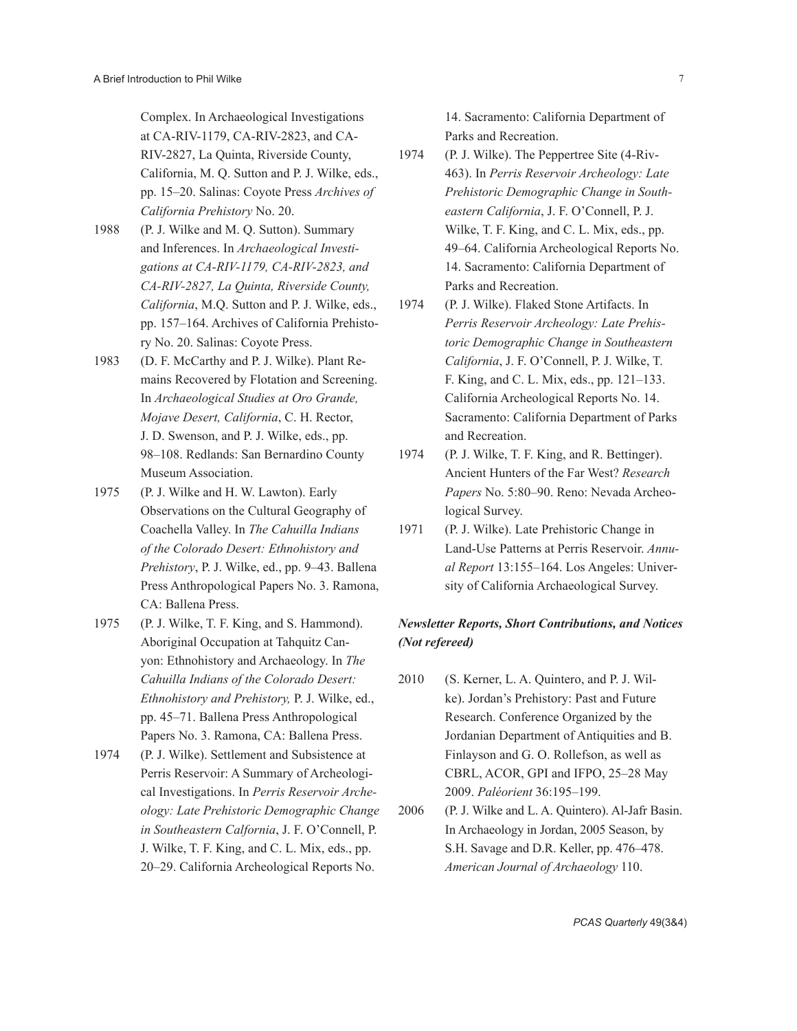Complex. In Archaeological Investigations at CA-RIV-1179, CA-RIV-2823, and CA-RIV-2827, La Quinta, Riverside County, California, M. Q. Sutton and P. J. Wilke, eds., pp. 15–20. Salinas: Coyote Press *Archives of California Prehistory* No. 20.

- 1988 (P. J. Wilke and M. Q. Sutton). Summary and Inferences. In *Archaeological Investigations at CA-RIV-1179, CA-RIV-2823, and CA-RIV-2827, La Quinta, Riverside County, California*, M.Q. Sutton and P. J. Wilke, eds., pp. 157–164. Archives of California Prehistory No. 20. Salinas: Coyote Press.
- 1983 (D. F. McCarthy and P. J. Wilke). Plant Remains Recovered by Flotation and Screening. In *Archaeological Studies at Oro Grande, Mojave Desert, California*, C. H. Rector, J. D. Swenson, and P. J. Wilke, eds., pp. 98–108. Redlands: San Bernardino County Museum Association.
- 1975 (P. J. Wilke and H. W. Lawton). Early Observations on the Cultural Geography of Coachella Valley. In *The Cahuilla Indians of the Colorado Desert: Ethnohistory and Prehistory*, P. J. Wilke, ed., pp. 9–43. Ballena Press Anthropological Papers No. 3. Ramona, CA: Ballena Press.
- 1975 (P. J. Wilke, T. F. King, and S. Hammond). Aboriginal Occupation at Tahquitz Canyon: Ethnohistory and Archaeology. In *The Cahuilla Indians of the Colorado Desert: Ethnohistory and Prehistory,* P. J. Wilke, ed., pp. 45–71. Ballena Press Anthropological Papers No. 3. Ramona, CA: Ballena Press.
- 1974 (P. J. Wilke). Settlement and Subsistence at Perris Reservoir: A Summary of Archeological Investigations. In *Perris Reservoir Archeology: Late Prehistoric Demographic Change in Southeastern Calfornia*, J. F. O'Connell, P. J. Wilke, T. F. King, and C. L. Mix, eds., pp. 20–29. California Archeological Reports No.

14. Sacramento: California Department of Parks and Recreation.

- 1974 (P. J. Wilke). The Peppertree Site (4-Riv-463). In *Perris Reservoir Archeology: Late Prehistoric Demographic Change in Southeastern California*, J. F. O'Connell, P. J. Wilke, T. F. King, and C. L. Mix, eds., pp. 49–64. California Archeological Reports No. 14. Sacramento: California Department of Parks and Recreation.
- 1974 (P. J. Wilke). Flaked Stone Artifacts. In *Perris Reservoir Archeology: Late Prehistoric Demographic Change in Southeastern California*, J. F. O'Connell, P. J. Wilke, T. F. King, and C. L. Mix, eds., pp. 121–133. California Archeological Reports No. 14. Sacramento: California Department of Parks and Recreation.
- 1974 (P. J. Wilke, T. F. King, and R. Bettinger). Ancient Hunters of the Far West? *Research Papers* No. 5:80–90. Reno: Nevada Archeological Survey.
- 1971 (P. J. Wilke). Late Prehistoric Change in Land-Use Patterns at Perris Reservoir. *Annual Report* 13:155–164. Los Angeles: University of California Archaeological Survey.

# *Newsletter Reports, Short Contributions, and Notices (Not refereed)*

- 2010 (S. Kerner, L. A. Quintero, and P. J. Wilke). Jordan's Prehistory: Past and Future Research. Conference Organized by the Jordanian Department of Antiquities and B. Finlayson and G. O. Rollefson, as well as CBRL, ACOR, GPI and IFPO, 25–28 May 2009. *Paléorient* 36:195–199.
- 2006 (P. J. Wilke and L. A. Quintero). Al-Jafr Basin. In Archaeology in Jordan, 2005 Season, by S.H. Savage and D.R. Keller, pp. 476–478. *American Journal of Archaeology* 110.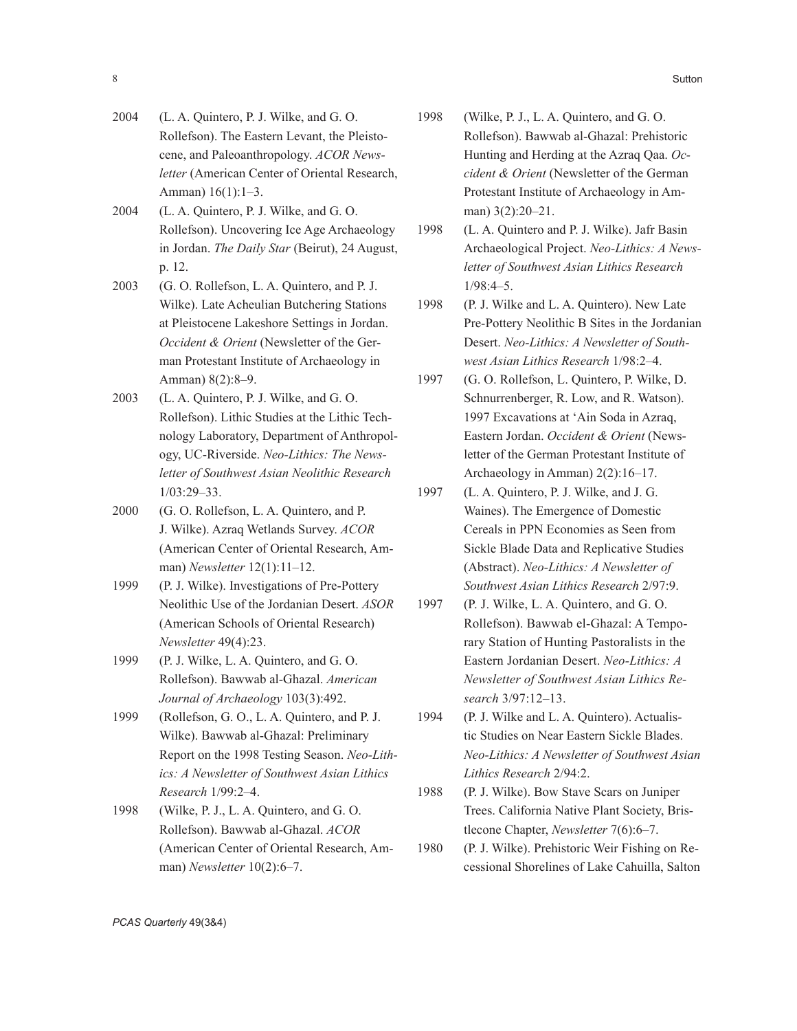- 2004 (L. A. Quintero, P. J. Wilke, and G. O. Rollefson). The Eastern Levant, the Pleistocene, and Paleoanthropology. *ACOR Newsletter* (American Center of Oriental Research, Amman) 16(1):1–3.
- 2004 (L. A. Quintero, P. J. Wilke, and G. O. Rollefson). Uncovering Ice Age Archaeology in Jordan. *The Daily Star* (Beirut), 24 August, p. 12.
- 2003 (G. O. Rollefson, L. A. Quintero, and P. J. Wilke). Late Acheulian Butchering Stations at Pleistocene Lakeshore Settings in Jordan. *Occident & Orient* (Newsletter of the German Protestant Institute of Archaeology in Amman) 8(2):8–9.
- 2003 (L. A. Quintero, P. J. Wilke, and G. O. Rollefson). Lithic Studies at the Lithic Technology Laboratory, Department of Anthropology, UC-Riverside. *Neo-Lithics: The Newsletter of Southwest Asian Neolithic Research* 1/03:29–33.
- 2000 (G. O. Rollefson, L. A. Quintero, and P. J. Wilke). Azraq Wetlands Survey. *ACOR*  (American Center of Oriental Research, Amman) *Newsletter* 12(1):11–12.
- 1999 (P. J. Wilke). Investigations of Pre-Pottery Neolithic Use of the Jordanian Desert. *ASOR*  (American Schools of Oriental Research) *Newsletter* 49(4):23.
- 1999 (P. J. Wilke, L. A. Quintero, and G. O. Rollefson). Bawwab al-Ghazal. *American Journal of Archaeology* 103(3):492.
- 1999 (Rollefson, G. O., L. A. Quintero, and P. J. Wilke). Bawwab al-Ghazal: Preliminary Report on the 1998 Testing Season. *Neo-Lithics: A Newsletter of Southwest Asian Lithics Research* 1/99:2–4.
- 1998 (Wilke, P. J., L. A. Quintero, and G. O. Rollefson). Bawwab al-Ghazal. *ACOR*  (American Center of Oriental Research, Amman) *Newsletter* 10(2):6–7.
- 1998 (Wilke, P. J., L. A. Quintero, and G. O. Rollefson). Bawwab al-Ghazal: Prehistoric Hunting and Herding at the Azraq Qaa. *Occident & Orient* (Newsletter of the German Protestant Institute of Archaeology in Amman) 3(2):20–21.
- 1998 (L. A. Quintero and P. J. Wilke). Jafr Basin Archaeological Project. *Neo-Lithics: A Newsletter of Southwest Asian Lithics Research* 1/98:4–5.
- 1998 (P. J. Wilke and L. A. Quintero). New Late Pre-Pottery Neolithic B Sites in the Jordanian Desert. *Neo-Lithics: A Newsletter of Southwest Asian Lithics Research* 1/98:2–4.
- 1997 (G. O. Rollefson, L. Quintero, P. Wilke, D. Schnurrenberger, R. Low, and R. Watson). 1997 Excavations at 'Ain Soda in Azraq, Eastern Jordan. *Occident & Orient* (Newsletter of the German Protestant Institute of Archaeology in Amman) 2(2):16–17.
- 1997 (L. A. Quintero, P. J. Wilke, and J. G. Waines). The Emergence of Domestic Cereals in PPN Economies as Seen from Sickle Blade Data and Replicative Studies (Abstract). *Neo-Lithics: A Newsletter of Southwest Asian Lithics Research* 2/97:9.
- 1997 (P. J. Wilke, L. A. Quintero, and G. O. Rollefson). Bawwab el-Ghazal: A Temporary Station of Hunting Pastoralists in the Eastern Jordanian Desert. *Neo-Lithics: A Newsletter of Southwest Asian Lithics Research* 3/97:12–13.
- 1994 (P. J. Wilke and L. A. Quintero). Actualistic Studies on Near Eastern Sickle Blades. *Neo-Lithics: A Newsletter of Southwest Asian Lithics Research* 2/94:2.
- 1988 (P. J. Wilke). Bow Stave Scars on Juniper Trees. California Native Plant Society, Bristlecone Chapter, *Newsletter* 7(6):6–7.
- 1980 (P. J. Wilke). Prehistoric Weir Fishing on Recessional Shorelines of Lake Cahuilla, Salton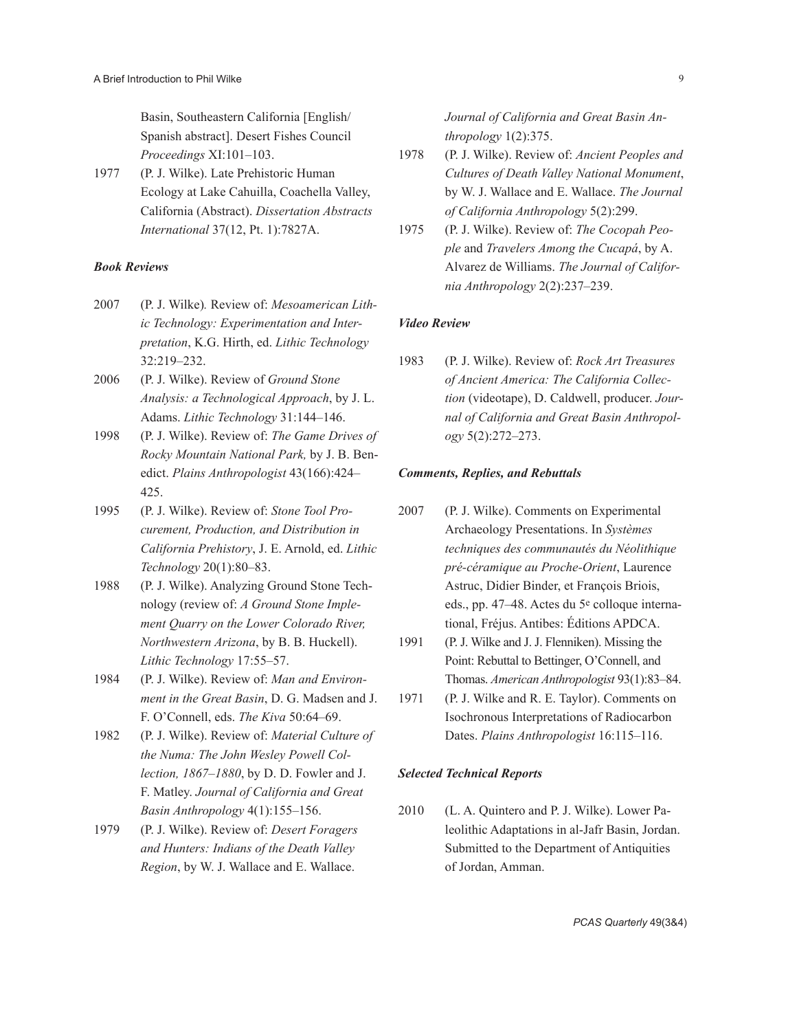Basin, Southeastern California [English/ Spanish abstract]. Desert Fishes Council *Proceedings* XI:101–103.

1977 (P. J. Wilke). Late Prehistoric Human Ecology at Lake Cahuilla, Coachella Valley, California (Abstract). *Dissertation Abstracts International* 37(12, Pt. 1):7827A.

## *Book Reviews*

- 2007 (P. J. Wilke)*.* Review of: *Mesoamerican Lithic Technology: Experimentation and Interpretation*, K.G. Hirth, ed. *Lithic Technology* 32:219–232.
- 2006 (P. J. Wilke). Review of *Ground Stone Analysis: a Technological Approach*, by J. L. Adams. *Lithic Technology* 31:144–146.
- 1998 (P. J. Wilke). Review of: *The Game Drives of Rocky Mountain National Park,* by J. B. Benedict. *Plains Anthropologist* 43(166):424– 425.
- 1995 (P. J. Wilke). Review of: *Stone Tool Procurement, Production, and Distribution in California Prehistory*, J. E. Arnold, ed. *Lithic Technology* 20(1):80–83.
- 1988 (P. J. Wilke). Analyzing Ground Stone Technology (review of: *A Ground Stone Implement Quarry on the Lower Colorado River, Northwestern Arizona*, by B. B. Huckell). *Lithic Technology* 17:55–57.
- 1984 (P. J. Wilke). Review of: *Man and Environment in the Great Basin*, D. G. Madsen and J. F. O'Connell, eds. *The Kiva* 50:64–69.
- 1982 (P. J. Wilke). Review of: *Material Culture of the Numa: The John Wesley Powell Collection, 1867–1880*, by D. D. Fowler and J. F. Matley. *Journal of California and Great Basin Anthropology* 4(1):155–156.
- 1979 (P. J. Wilke). Review of: *Desert Foragers and Hunters: Indians of the Death Valley Region*, by W. J. Wallace and E. Wallace.

*Journal of California and Great Basin Anthropology* 1(2):375.

- 1978 (P. J. Wilke). Review of: *Ancient Peoples and Cultures of Death Valley National Monument*, by W. J. Wallace and E. Wallace. *The Journal of California Anthropology* 5(2):299.
- 1975 (P. J. Wilke). Review of: *The Cocopah People* and *Travelers Among the Cucapá*, by A. Alvarez de Williams. *The Journal of California Anthropology* 2(2):237–239.

### *Video Review*

1983 (P. J. Wilke). Review of: *Rock Art Treasures of Ancient America: The California Collection* (videotape), D. Caldwell, producer. *Journal of California and Great Basin Anthropology* 5(2):272–273.

#### *Comments, Replies, and Rebuttals*

- 2007 (P. J. Wilke). Comments on Experimental Archaeology Presentations. In *Systèmes techniques des communautés du Néolithique pré-céramique au Proche-Orient*, Laurence Astruc, Didier Binder, et François Briois, eds., pp. 47–48. Actes du 5e colloque international, Fréjus. Antibes: Éditions APDCA.
- 1991 (P. J. Wilke and J. J. Flenniken). Missing the Point: Rebuttal to Bettinger, O'Connell, and Thomas. *American Anthropologist* 93(1):83–84.
- 1971 (P. J. Wilke and R. E. Taylor). Comments on Isochronous Interpretations of Radiocarbon Dates. *Plains Anthropologist* 16:115–116.

#### *Selected Technical Reports*

2010 (L. A. Quintero and P. J. Wilke). Lower Paleolithic Adaptations in al-Jafr Basin, Jordan. Submitted to the Department of Antiquities of Jordan, Amman.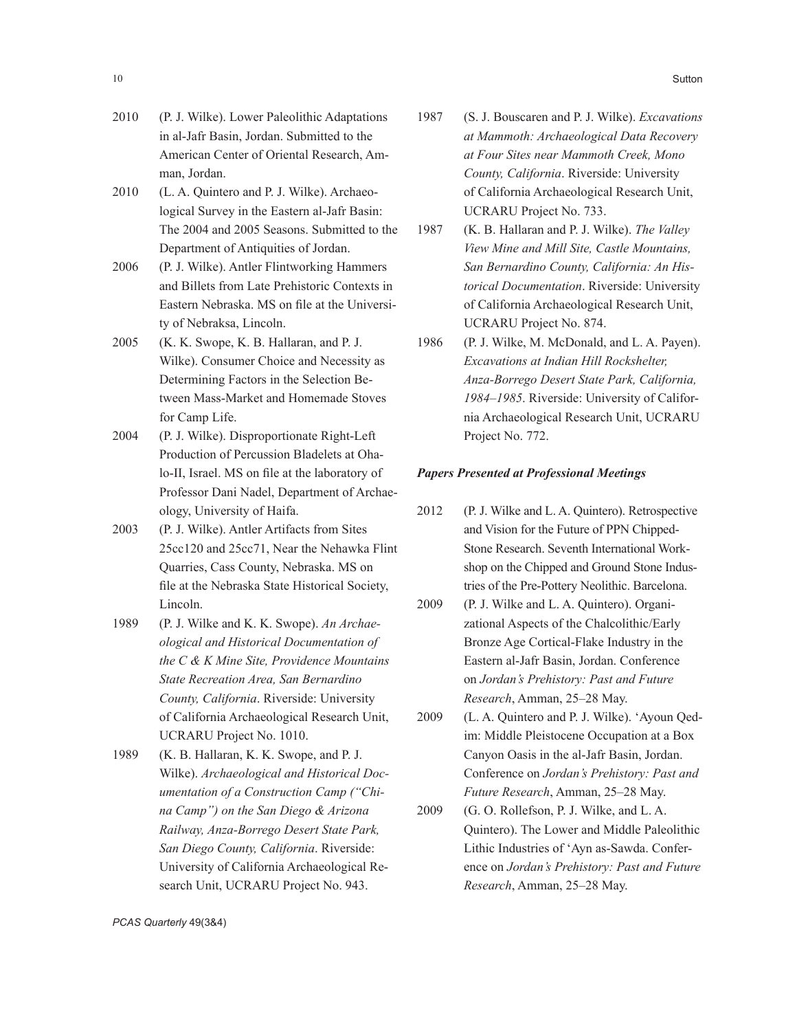- 2010 (P. J. Wilke). Lower Paleolithic Adaptations in al-Jafr Basin, Jordan. Submitted to the American Center of Oriental Research, Amman, Jordan.
- 2010 (L. A. Quintero and P. J. Wilke). Archaeological Survey in the Eastern al-Jafr Basin: The 2004 and 2005 Seasons. Submitted to the Department of Antiquities of Jordan.
- 2006 (P. J. Wilke). Antler Flintworking Hammers and Billets from Late Prehistoric Contexts in Eastern Nebraska. MS on file at the University of Nebraksa, Lincoln.
- 2005 (K. K. Swope, K. B. Hallaran, and P. J. Wilke). Consumer Choice and Necessity as Determining Factors in the Selection Between Mass-Market and Homemade Stoves for Camp Life.
- 2004 (P. J. Wilke). Disproportionate Right-Left Production of Percussion Bladelets at Ohalo-II, Israel. MS on file at the laboratory of Professor Dani Nadel, Department of Archaeology, University of Haifa.
- 2003 (P. J. Wilke). Antler Artifacts from Sites 25cc120 and 25cc71, Near the Nehawka Flint Quarries, Cass County, Nebraska. MS on file at the Nebraska State Historical Society, Lincoln.
- 1989 (P. J. Wilke and K. K. Swope). *An Archaeological and Historical Documentation of the C & K Mine Site, Providence Mountains State Recreation Area, San Bernardino County, California*. Riverside: University of California Archaeological Research Unit, UCRARU Project No. 1010.
- 1989 (K. B. Hallaran, K. K. Swope, and P. J. Wilke). *Archaeological and Historical Documentation of a Construction Camp ("China Camp") on the San Diego & Arizona Railway, Anza-Borrego Desert State Park, San Diego County, California*. Riverside: University of California Archaeological Research Unit, UCRARU Project No. 943.
- 1987 (S. J. Bouscaren and P. J. Wilke). *Excavations at Mammoth: Archaeological Data Recovery at Four Sites near Mammoth Creek, Mono County, California*. Riverside: University of California Archaeological Research Unit, UCRARU Project No. 733.
- 1987 (K. B. Hallaran and P. J. Wilke). *The Valley View Mine and Mill Site, Castle Mountains, San Bernardino County, California: An Historical Documentation*. Riverside: University of California Archaeological Research Unit, UCRARU Project No. 874.
- 1986 (P. J. Wilke, M. McDonald, and L. A. Payen). *Excavations at Indian Hill Rockshelter, Anza-Borrego Desert State Park, California, 1984–1985*. Riverside: University of California Archaeological Research Unit, UCRARU Project No. 772.

#### *Papers Presented at Professional Meetings*

- 2012 (P. J. Wilke and L. A. Quintero). Retrospective and Vision for the Future of PPN Chipped-Stone Research. Seventh International Workshop on the Chipped and Ground Stone Industries of the Pre-Pottery Neolithic. Barcelona.
- 2009 (P. J. Wilke and L. A. Quintero). Organizational Aspects of the Chalcolithic/Early Bronze Age Cortical-Flake Industry in the Eastern al-Jafr Basin, Jordan. Conference on *Jordan's Prehistory: Past and Future Research*, Amman, 25–28 May.
- 2009 (L. A. Quintero and P. J. Wilke). 'Ayoun Qedim: Middle Pleistocene Occupation at a Box Canyon Oasis in the al-Jafr Basin, Jordan. Conference on *Jordan's Prehistory: Past and Future Research*, Amman, 25–28 May.
- 2009 (G. O. Rollefson, P. J. Wilke, and L. A. Quintero). The Lower and Middle Paleolithic Lithic Industries of 'Ayn as-Sawda. Conference on *Jordan's Prehistory: Past and Future Research*, Amman, 25–28 May.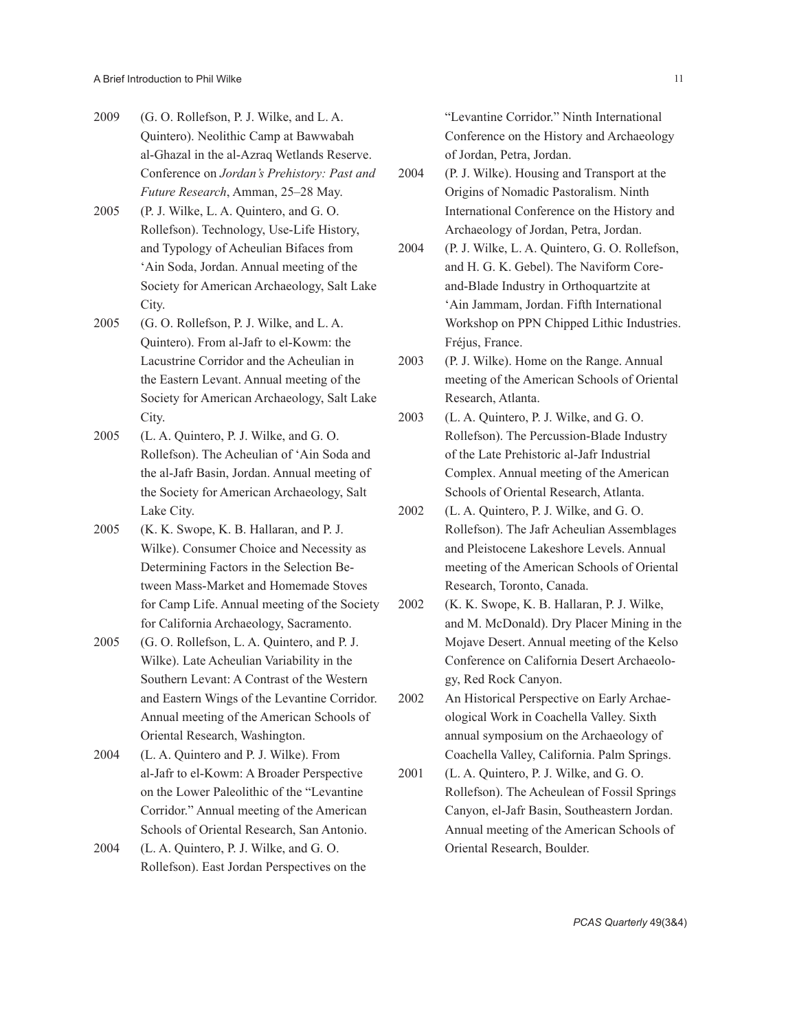- 2009 (G. O. Rollefson, P. J. Wilke, and L. A. Quintero). Neolithic Camp at Bawwabah al-Ghazal in the al-Azraq Wetlands Reserve. Conference on *Jordan's Prehistory: Past and Future Research*, Amman, 25–28 May.
- 2005 (P. J. Wilke, L. A. Quintero, and G. O. Rollefson). Technology, Use-Life History, and Typology of Acheulian Bifaces from 'Ain Soda, Jordan. Annual meeting of the Society for American Archaeology, Salt Lake City.
- 2005 (G. O. Rollefson, P. J. Wilke, and L. A. Quintero). From al-Jafr to el-Kowm: the Lacustrine Corridor and the Acheulian in the Eastern Levant. Annual meeting of the Society for American Archaeology, Salt Lake City.
- 2005 (L. A. Quintero, P. J. Wilke, and G. O. Rollefson). The Acheulian of 'Ain Soda and the al-Jafr Basin, Jordan. Annual meeting of the Society for American Archaeology, Salt Lake City.
- 2005 (K. K. Swope, K. B. Hallaran, and P. J. Wilke). Consumer Choice and Necessity as Determining Factors in the Selection Between Mass-Market and Homemade Stoves for Camp Life. Annual meeting of the Society for California Archaeology, Sacramento.
- 2005 (G. O. Rollefson, L. A. Quintero, and P. J. Wilke). Late Acheulian Variability in the Southern Levant: A Contrast of the Western and Eastern Wings of the Levantine Corridor. Annual meeting of the American Schools of Oriental Research, Washington.
- 2004 (L. A. Quintero and P. J. Wilke). From al-Jafr to el-Kowm: A Broader Perspective on the Lower Paleolithic of the "Levantine Corridor." Annual meeting of the American Schools of Oriental Research, San Antonio.
- 2004 (L. A. Quintero, P. J. Wilke, and G. O. Rollefson). East Jordan Perspectives on the

"Levantine Corridor." Ninth International Conference on the History and Archaeology of Jordan, Petra, Jordan.

- 2004 (P. J. Wilke). Housing and Transport at the Origins of Nomadic Pastoralism. Ninth International Conference on the History and Archaeology of Jordan, Petra, Jordan.
- 2004 (P. J. Wilke, L. A. Quintero, G. O. Rollefson, and H. G. K. Gebel). The Naviform Coreand-Blade Industry in Orthoquartzite at 'Ain Jammam, Jordan. Fifth International Workshop on PPN Chipped Lithic Industries. Fréjus, France.
- 2003 (P. J. Wilke). Home on the Range. Annual meeting of the American Schools of Oriental Research, Atlanta.
- 2003 (L. A. Quintero, P. J. Wilke, and G. O. Rollefson). The Percussion-Blade Industry of the Late Prehistoric al-Jafr Industrial Complex. Annual meeting of the American Schools of Oriental Research, Atlanta.
- 2002 (L. A. Quintero, P. J. Wilke, and G. O. Rollefson). The Jafr Acheulian Assemblages and Pleistocene Lakeshore Levels. Annual meeting of the American Schools of Oriental Research, Toronto, Canada.
- 2002 (K. K. Swope, K. B. Hallaran, P. J. Wilke, and M. McDonald). Dry Placer Mining in the Mojave Desert. Annual meeting of the Kelso Conference on California Desert Archaeology, Red Rock Canyon.
- 2002 An Historical Perspective on Early Archaeological Work in Coachella Valley. Sixth annual symposium on the Archaeology of Coachella Valley, California. Palm Springs.
- 2001 (L. A. Quintero, P. J. Wilke, and G. O. Rollefson). The Acheulean of Fossil Springs Canyon, el-Jafr Basin, Southeastern Jordan. Annual meeting of the American Schools of Oriental Research, Boulder.

*PCAS Quarterly* 49(3&4)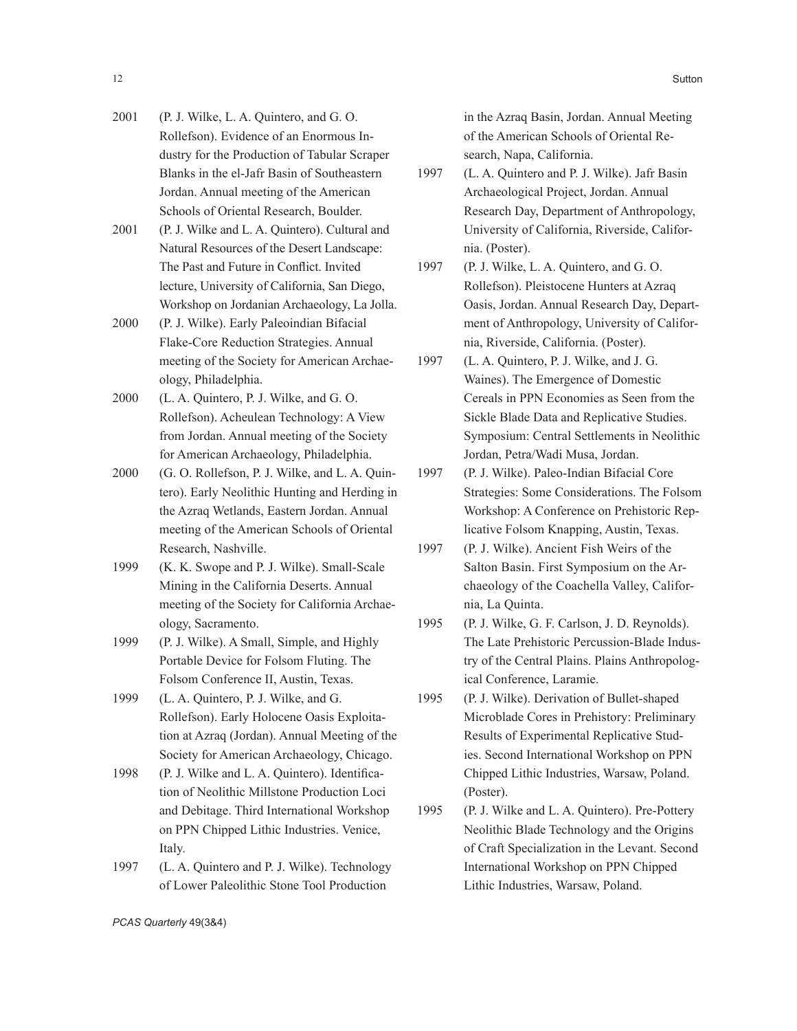- 2001 (P. J. Wilke, L. A. Quintero, and G. O. Rollefson). Evidence of an Enormous Industry for the Production of Tabular Scraper Blanks in the el-Jafr Basin of Southeastern Jordan. Annual meeting of the American Schools of Oriental Research, Boulder.
- 2001 (P. J. Wilke and L. A. Quintero). Cultural and Natural Resources of the Desert Landscape: The Past and Future in Conflict. Invited lecture, University of California, San Diego, Workshop on Jordanian Archaeology, La Jolla.
- 2000 (P. J. Wilke). Early Paleoindian Bifacial Flake-Core Reduction Strategies. Annual meeting of the Society for American Archaeology, Philadelphia.
- 2000 (L. A. Quintero, P. J. Wilke, and G. O. Rollefson). Acheulean Technology: A View from Jordan. Annual meeting of the Society for American Archaeology, Philadelphia.
- 2000 (G. O. Rollefson, P. J. Wilke, and L. A. Quintero). Early Neolithic Hunting and Herding in the Azraq Wetlands, Eastern Jordan. Annual meeting of the American Schools of Oriental Research, Nashville.
- 1999 (K. K. Swope and P. J. Wilke). Small-Scale Mining in the California Deserts. Annual meeting of the Society for California Archaeology, Sacramento.
- 1999 (P. J. Wilke). A Small, Simple, and Highly Portable Device for Folsom Fluting. The Folsom Conference II, Austin, Texas.
- 1999 (L. A. Quintero, P. J. Wilke, and G. Rollefson). Early Holocene Oasis Exploitation at Azraq (Jordan). Annual Meeting of the Society for American Archaeology, Chicago.
- 1998 (P. J. Wilke and L. A. Quintero). Identification of Neolithic Millstone Production Loci and Debitage. Third International Workshop on PPN Chipped Lithic Industries. Venice, Italy.
- 1997 (L. A. Quintero and P. J. Wilke). Technology of Lower Paleolithic Stone Tool Production

in the Azraq Basin, Jordan. Annual Meeting of the American Schools of Oriental Research, Napa, California.

- 1997 (L. A. Quintero and P. J. Wilke). Jafr Basin Archaeological Project, Jordan. Annual Research Day, Department of Anthropology, University of California, Riverside, California. (Poster).
- 1997 (P. J. Wilke, L. A. Quintero, and G. O. Rollefson). Pleistocene Hunters at Azraq Oasis, Jordan. Annual Research Day, Department of Anthropology, University of California, Riverside, California. (Poster).
- 1997 (L. A. Quintero, P. J. Wilke, and J. G. Waines). The Emergence of Domestic Cereals in PPN Economies as Seen from the Sickle Blade Data and Replicative Studies. Symposium: Central Settlements in Neolithic Jordan, Petra/Wadi Musa, Jordan.
- 1997 (P. J. Wilke). Paleo-Indian Bifacial Core Strategies: Some Considerations. The Folsom Workshop: A Conference on Prehistoric Replicative Folsom Knapping, Austin, Texas.
- 1997 (P. J. Wilke). Ancient Fish Weirs of the Salton Basin. First Symposium on the Archaeology of the Coachella Valley, California, La Quinta.
- 1995 (P. J. Wilke, G. F. Carlson, J. D. Reynolds). The Late Prehistoric Percussion-Blade Industry of the Central Plains. Plains Anthropological Conference, Laramie.
- 1995 (P. J. Wilke). Derivation of Bullet-shaped Microblade Cores in Prehistory: Preliminary Results of Experimental Replicative Studies. Second International Workshop on PPN Chipped Lithic Industries, Warsaw, Poland. (Poster).
- 1995 (P. J. Wilke and L. A. Quintero). Pre-Pottery Neolithic Blade Technology and the Origins of Craft Specialization in the Levant. Second International Workshop on PPN Chipped Lithic Industries, Warsaw, Poland.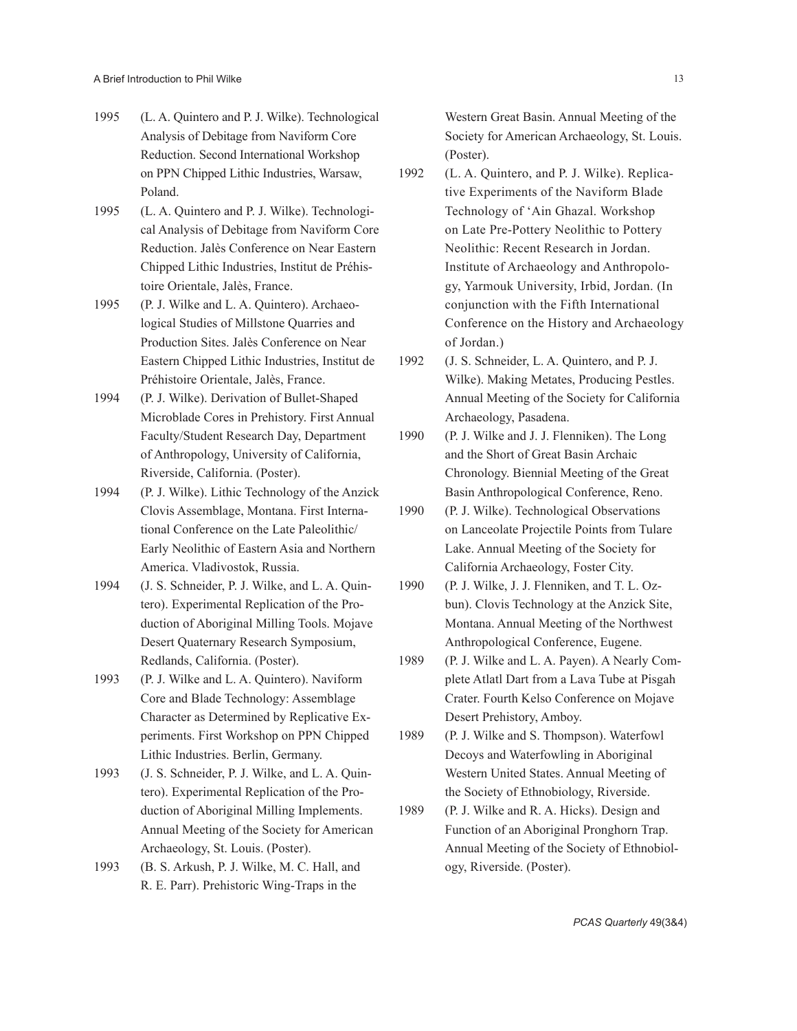- 1995 (L. A. Quintero and P. J. Wilke). Technological Analysis of Debitage from Naviform Core Reduction. Second International Workshop on PPN Chipped Lithic Industries, Warsaw, Poland.
- 1995 (L. A. Quintero and P. J. Wilke). Technological Analysis of Debitage from Naviform Core Reduction. Jalès Conference on Near Eastern Chipped Lithic Industries, Institut de Préhistoire Orientale, Jalès, France.
- 1995 (P. J. Wilke and L. A. Quintero). Archaeological Studies of Millstone Quarries and Production Sites. Jalès Conference on Near Eastern Chipped Lithic Industries, Institut de Préhistoire Orientale, Jalès, France.
- 1994 (P. J. Wilke). Derivation of Bullet-Shaped Microblade Cores in Prehistory. First Annual Faculty/Student Research Day, Department of Anthropology, University of California, Riverside, California. (Poster).
- 1994 (P. J. Wilke). Lithic Technology of the Anzick Clovis Assemblage, Montana. First International Conference on the Late Paleolithic/ Early Neolithic of Eastern Asia and Northern America. Vladivostok, Russia.
- 1994 (J. S. Schneider, P. J. Wilke, and L. A. Quintero). Experimental Replication of the Production of Aboriginal Milling Tools. Mojave Desert Quaternary Research Symposium, Redlands, California. (Poster).
- 1993 (P. J. Wilke and L. A. Quintero). Naviform Core and Blade Technology: Assemblage Character as Determined by Replicative Experiments. First Workshop on PPN Chipped Lithic Industries. Berlin, Germany.
- 1993 (J. S. Schneider, P. J. Wilke, and L. A. Quintero). Experimental Replication of the Production of Aboriginal Milling Implements. Annual Meeting of the Society for American Archaeology, St. Louis. (Poster).
- 1993 (B. S. Arkush, P. J. Wilke, M. C. Hall, and R. E. Parr). Prehistoric Wing-Traps in the

Western Great Basin. Annual Meeting of the Society for American Archaeology, St. Louis. (Poster).

- 1992 (L. A. Quintero, and P. J. Wilke). Replicative Experiments of the Naviform Blade Technology of 'Ain Ghazal. Workshop on Late Pre-Pottery Neolithic to Pottery Neolithic: Recent Research in Jordan. Institute of Archaeology and Anthropology, Yarmouk University, Irbid, Jordan. (In conjunction with the Fifth International Conference on the History and Archaeology of Jordan.)
- 1992 (J. S. Schneider, L. A. Quintero, and P. J. Wilke). Making Metates, Producing Pestles. Annual Meeting of the Society for California Archaeology, Pasadena.
- 1990 (P. J. Wilke and J. J. Flenniken). The Long and the Short of Great Basin Archaic Chronology. Biennial Meeting of the Great Basin Anthropological Conference, Reno.
- 1990 (P. J. Wilke). Technological Observations on Lanceolate Projectile Points from Tulare Lake. Annual Meeting of the Society for California Archaeology, Foster City.
- 1990 (P. J. Wilke, J. J. Flenniken, and T. L. Ozbun). Clovis Technology at the Anzick Site, Montana. Annual Meeting of the Northwest Anthropological Conference, Eugene.
- 1989 (P. J. Wilke and L. A. Payen). A Nearly Complete Atlatl Dart from a Lava Tube at Pisgah Crater. Fourth Kelso Conference on Mojave Desert Prehistory, Amboy.
- 1989 (P. J. Wilke and S. Thompson). Waterfowl Decoys and Waterfowling in Aboriginal Western United States. Annual Meeting of the Society of Ethnobiology, Riverside.
- 1989 (P. J. Wilke and R. A. Hicks). Design and Function of an Aboriginal Pronghorn Trap. Annual Meeting of the Society of Ethnobiology, Riverside. (Poster).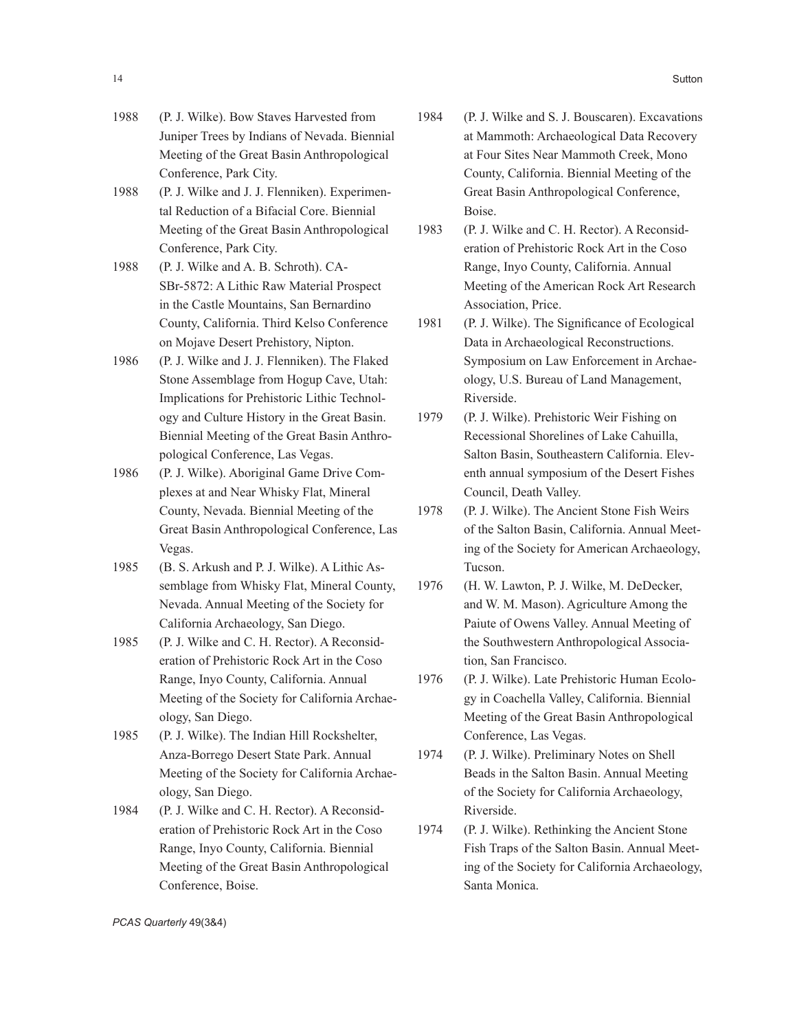- 1988 (P. J. Wilke). Bow Staves Harvested from Juniper Trees by Indians of Nevada. Biennial Meeting of the Great Basin Anthropological Conference, Park City.
- 1988 (P. J. Wilke and J. J. Flenniken). Experimental Reduction of a Bifacial Core. Biennial Meeting of the Great Basin Anthropological Conference, Park City.
- 1988 (P. J. Wilke and A. B. Schroth). CA-SBr-5872: A Lithic Raw Material Prospect in the Castle Mountains, San Bernardino County, California. Third Kelso Conference on Mojave Desert Prehistory, Nipton.
- 1986 (P. J. Wilke and J. J. Flenniken). The Flaked Stone Assemblage from Hogup Cave, Utah: Implications for Prehistoric Lithic Technology and Culture History in the Great Basin. Biennial Meeting of the Great Basin Anthropological Conference, Las Vegas.
- 1986 (P. J. Wilke). Aboriginal Game Drive Complexes at and Near Whisky Flat, Mineral County, Nevada. Biennial Meeting of the Great Basin Anthropological Conference, Las Vegas.
- 1985 (B. S. Arkush and P. J. Wilke). A Lithic Assemblage from Whisky Flat, Mineral County, Nevada. Annual Meeting of the Society for California Archaeology, San Diego.
- 1985 (P. J. Wilke and C. H. Rector). A Reconsideration of Prehistoric Rock Art in the Coso Range, Inyo County, California. Annual Meeting of the Society for California Archaeology, San Diego.
- 1985 (P. J. Wilke). The Indian Hill Rockshelter, Anza-Borrego Desert State Park. Annual Meeting of the Society for California Archaeology, San Diego.
- 1984 (P. J. Wilke and C. H. Rector). A Reconsideration of Prehistoric Rock Art in the Coso Range, Inyo County, California. Biennial Meeting of the Great Basin Anthropological Conference, Boise.
- 1984 (P. J. Wilke and S. J. Bouscaren). Excavations at Mammoth: Archaeological Data Recovery at Four Sites Near Mammoth Creek, Mono County, California. Biennial Meeting of the Great Basin Anthropological Conference, Boise.
- 1983 (P. J. Wilke and C. H. Rector). A Reconsideration of Prehistoric Rock Art in the Coso Range, Inyo County, California. Annual Meeting of the American Rock Art Research Association, Price.
- 1981 (P. J. Wilke). The Significance of Ecological Data in Archaeological Reconstructions. Symposium on Law Enforcement in Archaeology, U.S. Bureau of Land Management, Riverside.
- 1979 (P. J. Wilke). Prehistoric Weir Fishing on Recessional Shorelines of Lake Cahuilla, Salton Basin, Southeastern California. Eleventh annual symposium of the Desert Fishes Council, Death Valley.
- 1978 (P. J. Wilke). The Ancient Stone Fish Weirs of the Salton Basin, California. Annual Meeting of the Society for American Archaeology, Tucson.
- 1976 (H. W. Lawton, P. J. Wilke, M. DeDecker, and W. M. Mason). Agriculture Among the Paiute of Owens Valley. Annual Meeting of the Southwestern Anthropological Association, San Francisco.
- 1976 (P. J. Wilke). Late Prehistoric Human Ecology in Coachella Valley, California. Biennial Meeting of the Great Basin Anthropological Conference, Las Vegas.
- 1974 (P. J. Wilke). Preliminary Notes on Shell Beads in the Salton Basin. Annual Meeting of the Society for California Archaeology, Riverside.
- 1974 (P. J. Wilke). Rethinking the Ancient Stone Fish Traps of the Salton Basin. Annual Meeting of the Society for California Archaeology, Santa Monica.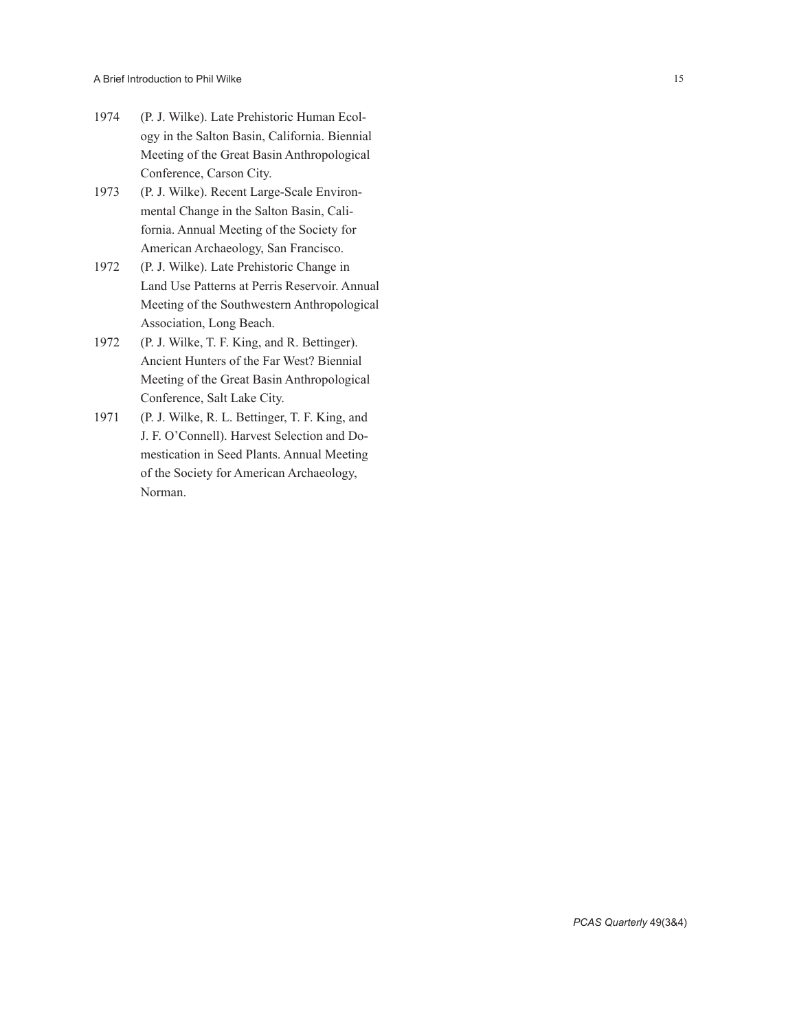- 1974 (P. J. Wilke). Late Prehistoric Human Ecol ogy in the Salton Basin, California. Biennial Meeting of the Great Basin Anthropological Conference, Carson City.
- 1973 (P. J. Wilke). Recent Large-Scale Environ mental Change in the Salton Basin, Cali fornia. Annual Meeting of the Society for American Archaeology, San Francisco.
- 1972 (P. J. Wilke). Late Prehistoric Change in Land Use Patterns at Perris Reservoir. Annual Meeting of the Southwestern Anthropological Association, Long Beach.
- 1972 (P. J. Wilke, T. F. King, and R. Bettinger). Ancient Hunters of the Far West? Biennial Meeting of the Great Basin Anthropological Conference, Salt Lake City.
- 1971 (P. J. Wilke, R. L. Bettinger, T. F. King, and J. F. O'Connell). Harvest Selection and Do mestication in Seed Plants. Annual Meeting of the Society for American Archaeology, Norman.